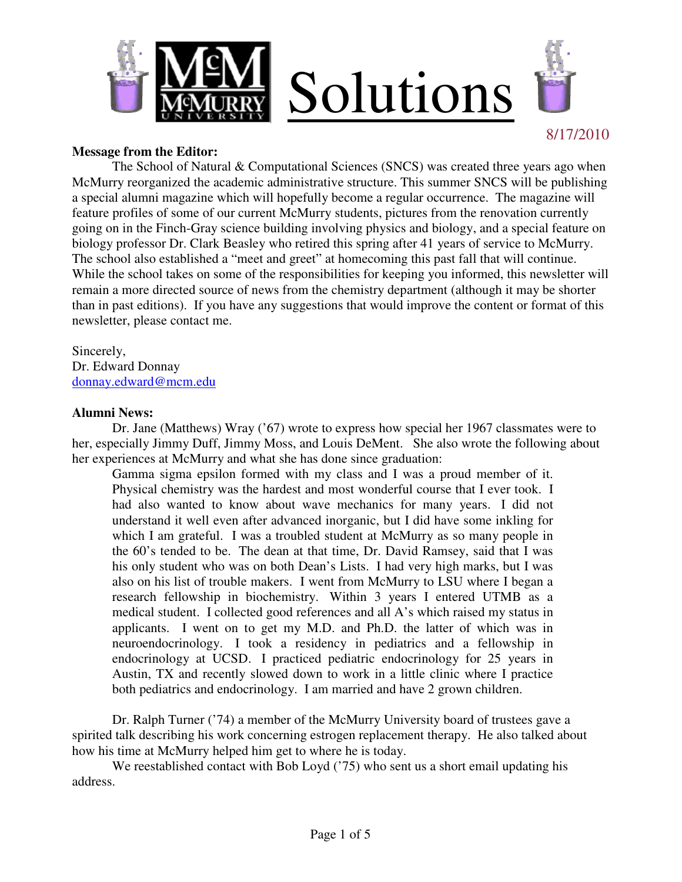

#### **Message from the Editor:**

 The School of Natural & Computational Sciences (SNCS) was created three years ago when McMurry reorganized the academic administrative structure. This summer SNCS will be publishing a special alumni magazine which will hopefully become a regular occurrence. The magazine will feature profiles of some of our current McMurry students, pictures from the renovation currently going on in the Finch-Gray science building involving physics and biology, and a special feature on biology professor Dr. Clark Beasley who retired this spring after 41 years of service to McMurry. The school also established a "meet and greet" at homecoming this past fall that will continue. While the school takes on some of the responsibilities for keeping you informed, this newsletter will remain a more directed source of news from the chemistry department (although it may be shorter than in past editions). If you have any suggestions that would improve the content or format of this newsletter, please contact me.

Sincerely, Dr. Edward Donnay donnay.edward@mcm.edu

#### **Alumni News:**

Dr. Jane (Matthews) Wray ('67) wrote to express how special her 1967 classmates were to her, especially Jimmy Duff, Jimmy Moss, and Louis DeMent. She also wrote the following about her experiences at McMurry and what she has done since graduation:

Gamma sigma epsilon formed with my class and I was a proud member of it. Physical chemistry was the hardest and most wonderful course that I ever took. I had also wanted to know about wave mechanics for many years. I did not understand it well even after advanced inorganic, but I did have some inkling for which I am grateful. I was a troubled student at McMurry as so many people in the 60's tended to be. The dean at that time, Dr. David Ramsey, said that I was his only student who was on both Dean's Lists. I had very high marks, but I was also on his list of trouble makers. I went from McMurry to LSU where I began a research fellowship in biochemistry. Within 3 years I entered UTMB as a medical student. I collected good references and all A's which raised my status in applicants. I went on to get my M.D. and Ph.D. the latter of which was in neuroendocrinology. I took a residency in pediatrics and a fellowship in endocrinology at UCSD. I practiced pediatric endocrinology for 25 years in Austin, TX and recently slowed down to work in a little clinic where I practice both pediatrics and endocrinology. I am married and have 2 grown children.

Dr. Ralph Turner ('74) a member of the McMurry University board of trustees gave a spirited talk describing his work concerning estrogen replacement therapy. He also talked about how his time at McMurry helped him get to where he is today.

We reestablished contact with Bob Loyd ('75) who sent us a short email updating his address.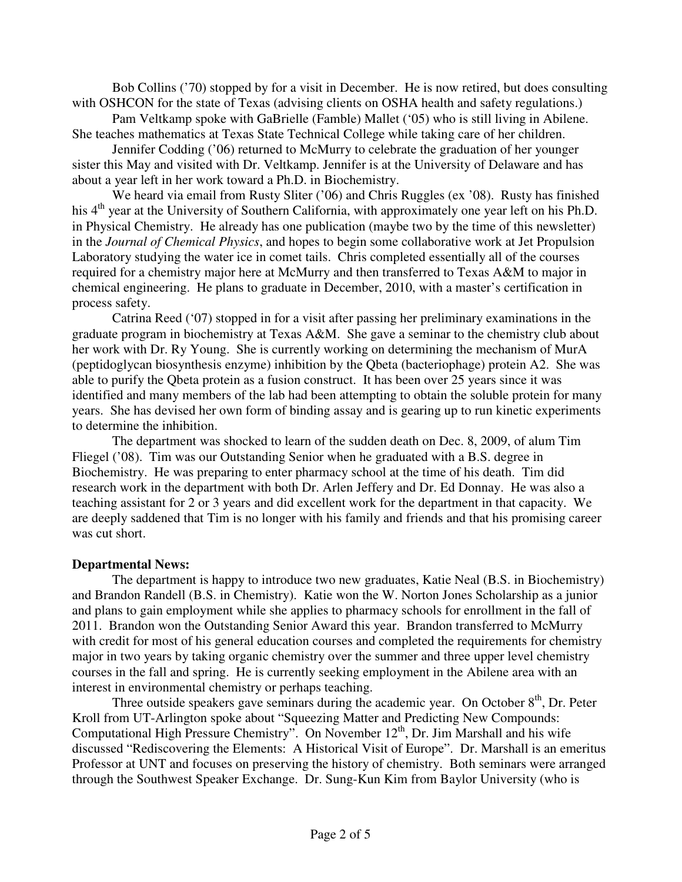Bob Collins ('70) stopped by for a visit in December. He is now retired, but does consulting with OSHCON for the state of Texas (advising clients on OSHA health and safety regulations.)

Pam Veltkamp spoke with GaBrielle (Famble) Mallet ('05) who is still living in Abilene. She teaches mathematics at Texas State Technical College while taking care of her children.

Jennifer Codding ('06) returned to McMurry to celebrate the graduation of her younger sister this May and visited with Dr. Veltkamp. Jennifer is at the University of Delaware and has about a year left in her work toward a Ph.D. in Biochemistry.

We heard via email from Rusty Sliter ('06) and Chris Ruggles (ex '08). Rusty has finished his 4<sup>th</sup> year at the University of Southern California, with approximately one year left on his Ph.D. in Physical Chemistry. He already has one publication (maybe two by the time of this newsletter) in the *Journal of Chemical Physics*, and hopes to begin some collaborative work at Jet Propulsion Laboratory studying the water ice in comet tails. Chris completed essentially all of the courses required for a chemistry major here at McMurry and then transferred to Texas A&M to major in chemical engineering. He plans to graduate in December, 2010, with a master's certification in process safety.

Catrina Reed ('07) stopped in for a visit after passing her preliminary examinations in the graduate program in biochemistry at Texas A&M. She gave a seminar to the chemistry club about her work with Dr. Ry Young. She is currently working on determining the mechanism of MurA (peptidoglycan biosynthesis enzyme) inhibition by the Qbeta (bacteriophage) protein A2. She was able to purify the Qbeta protein as a fusion construct. It has been over 25 years since it was identified and many members of the lab had been attempting to obtain the soluble protein for many years. She has devised her own form of binding assay and is gearing up to run kinetic experiments to determine the inhibition.

The department was shocked to learn of the sudden death on Dec. 8, 2009, of alum Tim Fliegel ('08). Tim was our Outstanding Senior when he graduated with a B.S. degree in Biochemistry. He was preparing to enter pharmacy school at the time of his death. Tim did research work in the department with both Dr. Arlen Jeffery and Dr. Ed Donnay. He was also a teaching assistant for 2 or 3 years and did excellent work for the department in that capacity. We are deeply saddened that Tim is no longer with his family and friends and that his promising career was cut short.

### **Departmental News:**

 The department is happy to introduce two new graduates, Katie Neal (B.S. in Biochemistry) and Brandon Randell (B.S. in Chemistry). Katie won the W. Norton Jones Scholarship as a junior and plans to gain employment while she applies to pharmacy schools for enrollment in the fall of 2011. Brandon won the Outstanding Senior Award this year. Brandon transferred to McMurry with credit for most of his general education courses and completed the requirements for chemistry major in two years by taking organic chemistry over the summer and three upper level chemistry courses in the fall and spring. He is currently seeking employment in the Abilene area with an interest in environmental chemistry or perhaps teaching.

Three outside speakers gave seminars during the academic year. On October  $8<sup>th</sup>$ , Dr. Peter Kroll from UT-Arlington spoke about "Squeezing Matter and Predicting New Compounds: Computational High Pressure Chemistry". On November  $12<sup>th</sup>$ , Dr. Jim Marshall and his wife discussed "Rediscovering the Elements: A Historical Visit of Europe". Dr. Marshall is an emeritus Professor at UNT and focuses on preserving the history of chemistry. Both seminars were arranged through the Southwest Speaker Exchange. Dr. Sung-Kun Kim from Baylor University (who is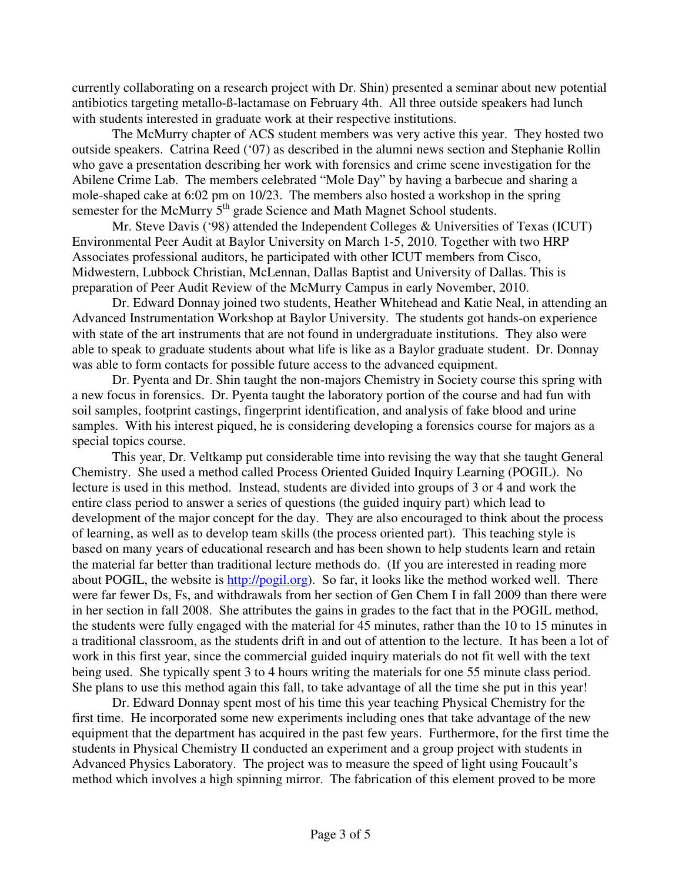currently collaborating on a research project with Dr. Shin) presented a seminar about new potential antibiotics targeting metallo-ß-lactamase on February 4th. All three outside speakers had lunch with students interested in graduate work at their respective institutions.

The McMurry chapter of ACS student members was very active this year. They hosted two outside speakers. Catrina Reed ('07) as described in the alumni news section and Stephanie Rollin who gave a presentation describing her work with forensics and crime scene investigation for the Abilene Crime Lab. The members celebrated "Mole Day" by having a barbecue and sharing a mole-shaped cake at 6:02 pm on 10/23. The members also hosted a workshop in the spring semester for the McMurry 5<sup>th</sup> grade Science and Math Magnet School students.

 Mr. Steve Davis ('98) attended the Independent Colleges & Universities of Texas (ICUT) Environmental Peer Audit at Baylor University on March 1-5, 2010. Together with two HRP Associates professional auditors, he participated with other ICUT members from Cisco, Midwestern, Lubbock Christian, McLennan, Dallas Baptist and University of Dallas. This is preparation of Peer Audit Review of the McMurry Campus in early November, 2010.

Dr. Edward Donnay joined two students, Heather Whitehead and Katie Neal, in attending an Advanced Instrumentation Workshop at Baylor University. The students got hands-on experience with state of the art instruments that are not found in undergraduate institutions. They also were able to speak to graduate students about what life is like as a Baylor graduate student. Dr. Donnay was able to form contacts for possible future access to the advanced equipment.

Dr. Pyenta and Dr. Shin taught the non-majors Chemistry in Society course this spring with a new focus in forensics. Dr. Pyenta taught the laboratory portion of the course and had fun with soil samples, footprint castings, fingerprint identification, and analysis of fake blood and urine samples. With his interest piqued, he is considering developing a forensics course for majors as a special topics course.

This year, Dr. Veltkamp put considerable time into revising the way that she taught General Chemistry. She used a method called Process Oriented Guided Inquiry Learning (POGIL). No lecture is used in this method. Instead, students are divided into groups of 3 or 4 and work the entire class period to answer a series of questions (the guided inquiry part) which lead to development of the major concept for the day. They are also encouraged to think about the process of learning, as well as to develop team skills (the process oriented part). This teaching style is based on many years of educational research and has been shown to help students learn and retain the material far better than traditional lecture methods do. (If you are interested in reading more about POGIL, the website is http://pogil.org). So far, it looks like the method worked well. There were far fewer Ds, Fs, and withdrawals from her section of Gen Chem I in fall 2009 than there were in her section in fall 2008. She attributes the gains in grades to the fact that in the POGIL method, the students were fully engaged with the material for 45 minutes, rather than the 10 to 15 minutes in a traditional classroom, as the students drift in and out of attention to the lecture. It has been a lot of work in this first year, since the commercial guided inquiry materials do not fit well with the text being used. She typically spent 3 to 4 hours writing the materials for one 55 minute class period. She plans to use this method again this fall, to take advantage of all the time she put in this year!

 Dr. Edward Donnay spent most of his time this year teaching Physical Chemistry for the first time. He incorporated some new experiments including ones that take advantage of the new equipment that the department has acquired in the past few years. Furthermore, for the first time the students in Physical Chemistry II conducted an experiment and a group project with students in Advanced Physics Laboratory. The project was to measure the speed of light using Foucault's method which involves a high spinning mirror. The fabrication of this element proved to be more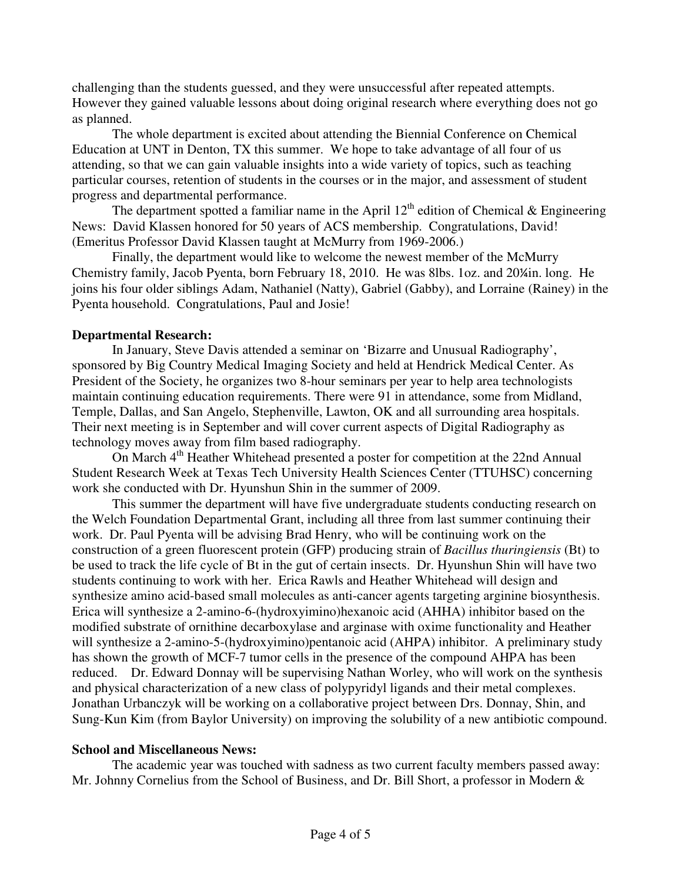challenging than the students guessed, and they were unsuccessful after repeated attempts. However they gained valuable lessons about doing original research where everything does not go as planned.

The whole department is excited about attending the Biennial Conference on Chemical Education at UNT in Denton, TX this summer. We hope to take advantage of all four of us attending, so that we can gain valuable insights into a wide variety of topics, such as teaching particular courses, retention of students in the courses or in the major, and assessment of student progress and departmental performance.

The department spotted a familiar name in the April  $12<sup>th</sup>$  edition of Chemical & Engineering News: David Klassen honored for 50 years of ACS membership. Congratulations, David! (Emeritus Professor David Klassen taught at McMurry from 1969-2006.)

Finally, the department would like to welcome the newest member of the McMurry Chemistry family, Jacob Pyenta, born February 18, 2010. He was 8lbs. 1oz. and 20¼in. long. He joins his four older siblings Adam, Nathaniel (Natty), Gabriel (Gabby), and Lorraine (Rainey) in the Pyenta household. Congratulations, Paul and Josie!

### **Departmental Research:**

In January, Steve Davis attended a seminar on 'Bizarre and Unusual Radiography', sponsored by Big Country Medical Imaging Society and held at Hendrick Medical Center. As President of the Society, he organizes two 8-hour seminars per year to help area technologists maintain continuing education requirements. There were 91 in attendance, some from Midland, Temple, Dallas, and San Angelo, Stephenville, Lawton, OK and all surrounding area hospitals. Their next meeting is in September and will cover current aspects of Digital Radiography as technology moves away from film based radiography.

On March 4<sup>th</sup> Heather Whitehead presented a poster for competition at the 22nd Annual Student Research Week at Texas Tech University Health Sciences Center (TTUHSC) concerning work she conducted with Dr. Hyunshun Shin in the summer of 2009.

This summer the department will have five undergraduate students conducting research on the Welch Foundation Departmental Grant, including all three from last summer continuing their work. Dr. Paul Pyenta will be advising Brad Henry, who will be continuing work on the construction of a green fluorescent protein (GFP) producing strain of *Bacillus thuringiensis* (Bt) to be used to track the life cycle of Bt in the gut of certain insects. Dr. Hyunshun Shin will have two students continuing to work with her. Erica Rawls and Heather Whitehead will design and synthesize amino acid-based small molecules as anti-cancer agents targeting arginine biosynthesis. Erica will synthesize a 2-amino-6-(hydroxyimino)hexanoic acid (AHHA) inhibitor based on the modified substrate of ornithine decarboxylase and arginase with oxime functionality and Heather will synthesize a 2-amino-5-(hydroxyimino)pentanoic acid (AHPA) inhibitor. A preliminary study has shown the growth of MCF-7 tumor cells in the presence of the compound AHPA has been reduced. Dr. Edward Donnay will be supervising Nathan Worley, who will work on the synthesis and physical characterization of a new class of polypyridyl ligands and their metal complexes. Jonathan Urbanczyk will be working on a collaborative project between Drs. Donnay, Shin, and Sung-Kun Kim (from Baylor University) on improving the solubility of a new antibiotic compound.

# **School and Miscellaneous News:**

The academic year was touched with sadness as two current faculty members passed away: Mr. Johnny Cornelius from the School of Business, and Dr. Bill Short, a professor in Modern &